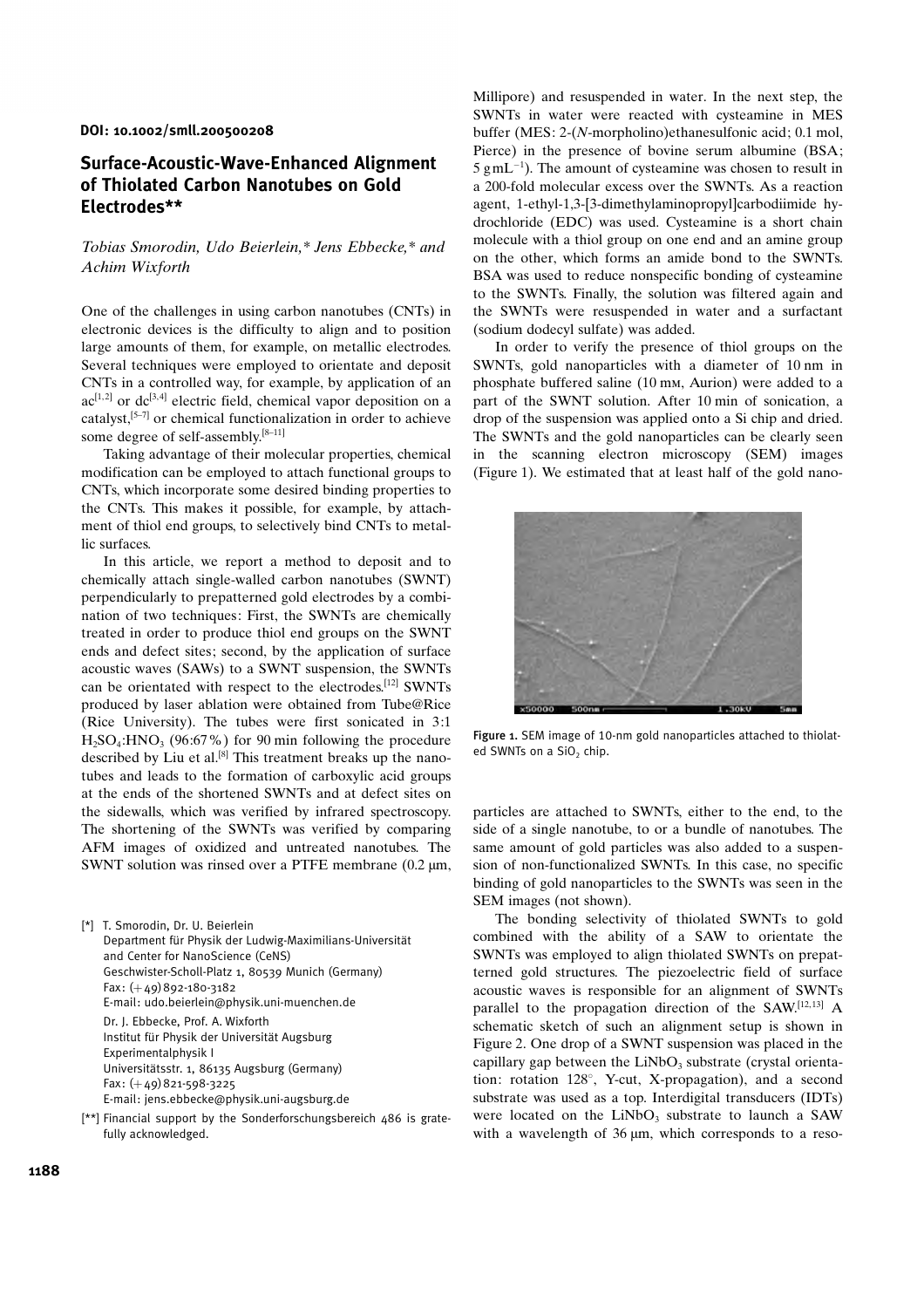## DOI: 10.1002/smll.200500208

## Surface-Acoustic-Wave-Enhanced Alignment of Thiolated Carbon Nanotubes on Gold Electrodes\*\*

## Tobias Smorodin, Udo Beierlein,\* Jens Ebbecke,\* and Achim Wixforth

One of the challenges in using carbon nanotubes (CNTs) in electronic devices is the difficulty to align and to position large amounts of them, for example, on metallic electrodes. Several techniques were employed to orientate and deposit CNTs in a controlled way, for example, by application of an  $ac^{[1,2]}$  or  $dc^{[3,4]}$  electric field, chemical vapor deposition on a catalyst,<sup>[5-7]</sup> or chemical functionalization in order to achieve some degree of self-assembly.<sup>[8-11]</sup>

Taking advantage of their molecular properties, chemical modification can be employed to attach functional groups to CNTs, which incorporate some desired binding properties to the CNTs. This makes it possible, for example, by attachment of thiol end groups, to selectively bind CNTs to metallic surfaces.

In this article, we report a method to deposit and to chemically attach single-walled carbon nanotubes (SWNT) perpendicularly to prepatterned gold electrodes by a combination of two techniques: First, the SWNTs are chemically treated in order to produce thiol end groups on the SWNT ends and defect sites; second, by the application of surface acoustic waves (SAWs) to a SWNT suspension, the SWNTs can be orientated with respect to the electrodes.<sup>[12]</sup> SWNTs produced by laser ablation were obtained from Tube@Rice (Rice University). The tubes were first sonicated in 3:1  $H<sub>2</sub>SO<sub>4</sub>:HNO<sub>3</sub>$  (96:67%) for 90 min following the procedure described by Liu et al.<sup>[8]</sup> This treatment breaks up the nanotubes and leads to the formation of carboxylic acid groups at the ends of the shortened SWNTs and at defect sites on the sidewalls, which was verified by infrared spectroscopy. The shortening of the SWNTs was verified by comparing AFM images of oxidized and untreated nanotubes. The SWNT solution was rinsed over a PTFE membrane  $(0.2 \mu m,$ 

[\*] T. Smorodin, Dr. U. Beierlein Department für Physik der Ludwig-Maximilians-Universität and Center for NanoScience (CeNS) Geschwister-Scholl-Platz 1, 80539 Munich (Germany) Fax: (+49)892-180-3182 E-mail: udo.beierlein@physik.uni-muenchen.de Dr. J. Ebbecke, Prof. A. Wixforth Institut für Physik der Universität Augsburg Experimentalphysik I Universitätsstr. 1, 86135 Augsburg (Germany)  $Fax: (+49)821-598-3225$ E-mail: jens.ebbecke@physik.uni-augsburg.de

[\*\*] Financial support by the Sonderforschungsbereich 486 is gratefully acknowledged.

Millipore) and resuspended in water. In the next step, the SWNTs in water were reacted with cysteamine in MES buffer (MES: 2-(N-morpholino)ethanesulfonic acid; 0.1 mol, Pierce) in the presence of bovine serum albumine (BSA;  $5 \text{ g} \text{m} \text{L}^{-1}$ ). The amount of cysteamine was chosen to result in a 200-fold molecular excess over the SWNTs. As a reaction agent, 1-ethyl-1,3-[3-dimethylaminopropyl]carbodiimide hydrochloride (EDC) was used. Cysteamine is a short chain molecule with a thiol group on one end and an amine group on the other, which forms an amide bond to the SWNTs. BSA was used to reduce nonspecific bonding of cysteamine to the SWNTs. Finally, the solution was filtered again and the SWNTs were resuspended in water and a surfactant (sodium dodecyl sulfate) was added.

In order to verify the presence of thiol groups on the SWNTs, gold nanoparticles with a diameter of 10 nm in phosphate buffered saline (10 mm, Aurion) were added to a part of the SWNT solution. After 10 min of sonication, a drop of the suspension was applied onto a Si chip and dried. The SWNTs and the gold nanoparticles can be clearly seen in the scanning electron microscopy (SEM) images (Figure 1). We estimated that at least half of the gold nano-



Figure 1. SEM image of 10-nm gold nanoparticles attached to thiolated SWNTs on a  $SiO<sub>2</sub>$  chip.

particles are attached to SWNTs, either to the end, to the side of a single nanotube, to or a bundle of nanotubes. The same amount of gold particles was also added to a suspension of non-functionalized SWNTs. In this case, no specific binding of gold nanoparticles to the SWNTs was seen in the SEM images (not shown).

The bonding selectivity of thiolated SWNTs to gold combined with the ability of a SAW to orientate the SWNTs was employed to align thiolated SWNTs on prepatterned gold structures. The piezoelectric field of surface acoustic waves is responsible for an alignment of SWNTs parallel to the propagation direction of the SAW.<sup>[12,13]</sup> A schematic sketch of such an alignment setup is shown in Figure 2. One drop of a SWNT suspension was placed in the capillary gap between the  $LiNbO<sub>3</sub>$  substrate (crystal orientation: rotation  $128^\circ$ , Y-cut, X-propagation), and a second substrate was used as a top. Interdigital transducers (IDTs) were located on the  $LiNbO<sub>3</sub>$  substrate to launch a SAW with a wavelength of  $36 \mu m$ , which corresponds to a reso-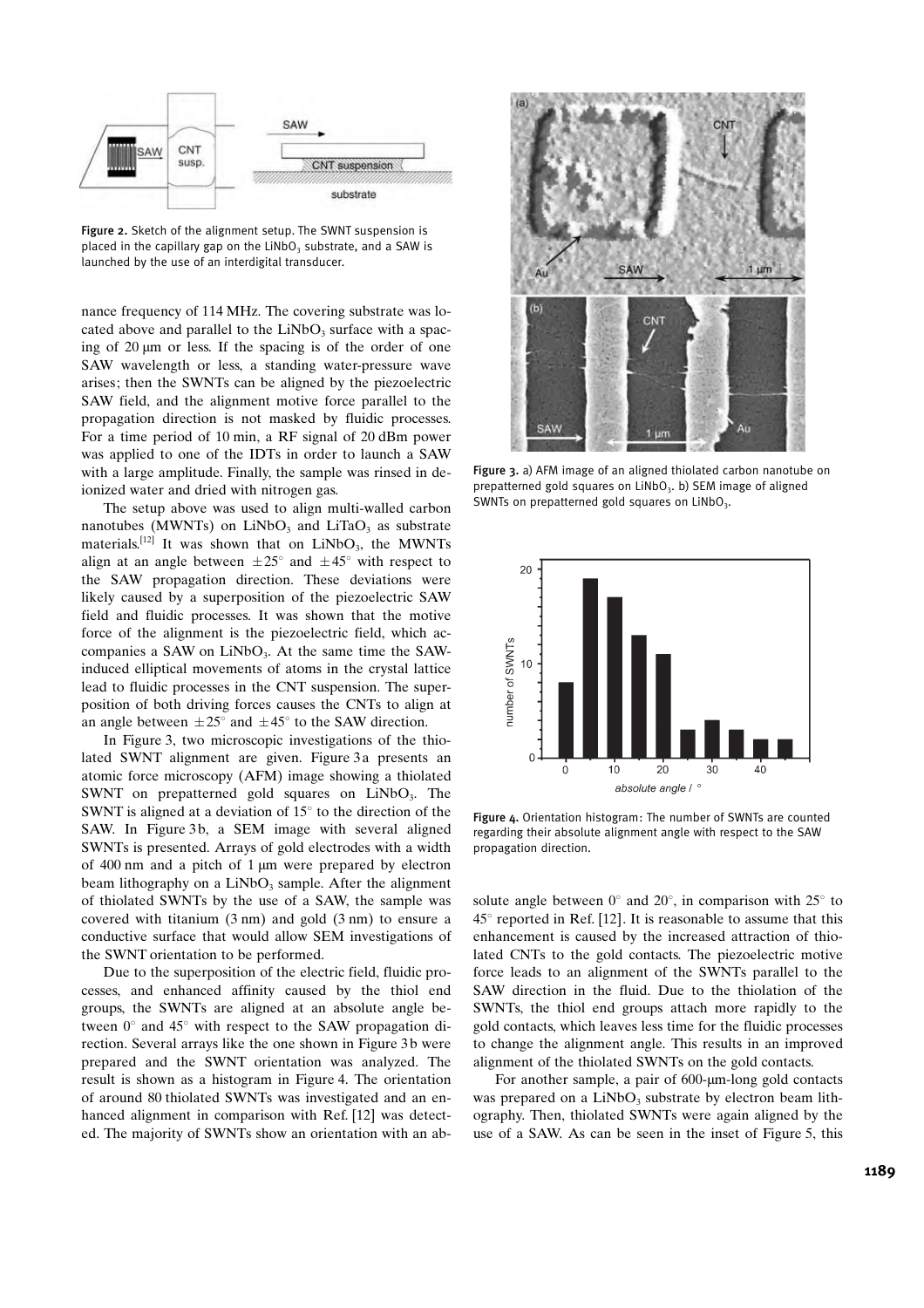

Figure 2. Sketch of the alignment setup. The SWNT suspension is placed in the capillary gap on the  $LiNbO<sub>3</sub>$  substrate, and a SAW is launched by the use of an interdigital transducer.

nance frequency of 114 MHz. The covering substrate was located above and parallel to the  $LiNbO<sub>3</sub>$  surface with a spacing of  $20 \mu m$  or less. If the spacing is of the order of one SAW wavelength or less, a standing water-pressure wave arises; then the SWNTs can be aligned by the piezoelectric SAW field, and the alignment motive force parallel to the propagation direction is not masked by fluidic processes. For a time period of 10 min, a RF signal of 20 dBm power was applied to one of the IDTs in order to launch a SAW with a large amplitude. Finally, the sample was rinsed in deionized water and dried with nitrogen gas.

The setup above was used to align multi-walled carbon nanotubes (MWNTs) on LiNbO<sub>3</sub> and LiTaO<sub>3</sub> as substrate materials.<sup>[12]</sup> It was shown that on  $LiNbO<sub>3</sub>$ , the MWNTs align at an angle between  $\pm 25^{\circ}$  and  $\pm 45^{\circ}$  with respect to the SAW propagation direction. These deviations were likely caused by a superposition of the piezoelectric SAW field and fluidic processes. It was shown that the motive force of the alignment is the piezoelectric field, which accompanies a SAW on  $LiNbO<sub>3</sub>$ . At the same time the SAWinduced elliptical movements of atoms in the crystal lattice lead to fluidic processes in the CNT suspension. The superposition of both driving forces causes the CNTs to align at an angle between  $\pm 25^{\circ}$  and  $\pm 45^{\circ}$  to the SAW direction.

In Figure 3, two microscopic investigations of the thiolated SWNT alignment are given. Figure 3a presents an atomic force microscopy (AFM) image showing a thiolated SWNT on prepatterned gold squares on  $LiNbO<sub>3</sub>$ . The SWNT is aligned at a deviation of  $15^{\circ}$  to the direction of the SAW. In Figure 3b, a SEM image with several aligned SWNTs is presented. Arrays of gold electrodes with a width of  $400 \text{ nm}$  and a pitch of 1  $\mu$ m were prepared by electron beam lithography on a  $LiNbO<sub>3</sub>$  sample. After the alignment of thiolated SWNTs by the use of a SAW, the sample was covered with titanium (3 nm) and gold (3 nm) to ensure a conductive surface that would allow SEM investigations of the SWNT orientation to be performed.

Due to the superposition of the electric field, fluidic processes, and enhanced affinity caused by the thiol end groups, the SWNTs are aligned at an absolute angle between  $0^{\circ}$  and  $45^{\circ}$  with respect to the SAW propagation direction. Several arrays like the one shown in Figure 3b were prepared and the SWNT orientation was analyzed. The result is shown as a histogram in Figure 4. The orientation of around 80 thiolated SWNTs was investigated and an enhanced alignment in comparison with Ref. [12] was detected. The majority of SWNTs show an orientation with an ab-



Figure 3. a) AFM image of an aligned thiolated carbon nanotube on prepatterned gold squares on  $LiNbO<sub>3</sub>$ . b) SEM image of aligned SWNTs on prepatterned gold squares on  $LiNbO<sub>3</sub>$ .



Figure 4. Orientation histogram: The number of SWNTs are counted regarding their absolute alignment angle with respect to the SAW propagation direction.

solute angle between  $0^{\circ}$  and  $20^{\circ}$ , in comparison with  $25^{\circ}$  to  $45^{\circ}$  reported in Ref. [12]. It is reasonable to assume that this enhancement is caused by the increased attraction of thiolated CNTs to the gold contacts. The piezoelectric motive force leads to an alignment of the SWNTs parallel to the SAW direction in the fluid. Due to the thiolation of the SWNTs, the thiol end groups attach more rapidly to the gold contacts, which leaves less time for the fluidic processes to change the alignment angle. This results in an improved alignment of the thiolated SWNTs on the gold contacts.

For another sample, a pair of  $600$ - $\mu$ m-long gold contacts was prepared on a  $LiNbO<sub>3</sub>$  substrate by electron beam lithography. Then, thiolated SWNTs were again aligned by the use of a SAW. As can be seen in the inset of Figure 5, this